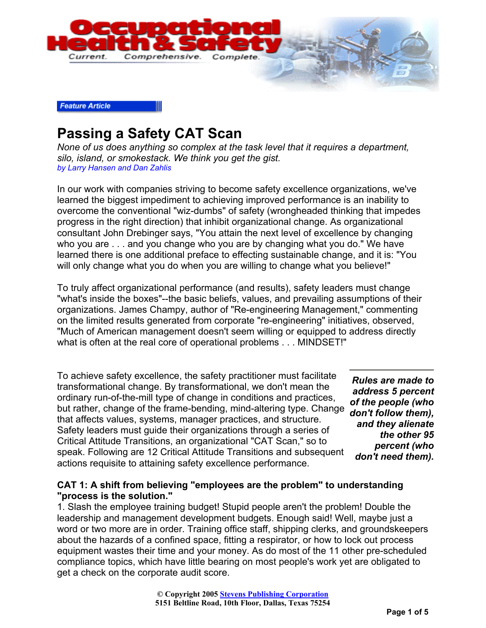

#### **Feature Article**

# **Passing a Safety CAT Scan**

*None of us does anything so complex at the task level that it requires a department, silo, island, or smokestack. We think you get the gist. by Larry Hansen and Dan Zahlis*

In our work with companies striving to become safety excellence organizations, we've learned the biggest impediment to achieving improved performance is an inability to overcome the conventional "wiz-dumbs" of safety (wrongheaded thinking that impedes progress in the right direction) that inhibit organizational change. As organizational consultant John Drebinger says, "You attain the next level of excellence by changing who you are . . . and you change who you are by changing what you do." We have learned there is one additional preface to effecting sustainable change, and it is: "You will only change what you do when you are willing to change what you believe!"

To truly affect organizational performance (and results), safety leaders must change "what's inside the boxes"--the basic beliefs, values, and prevailing assumptions of their organizations. James Champy, author of "Re-engineering Management," commenting on the limited results generated from corporate "re-engineering" initiatives, observed, "Much of American management doesn't seem willing or equipped to address directly what is often at the real core of operational problems . . . MINDSET!"

To achieve safety excellence, the safety practitioner must facilitate transformational change. By transformational, we don't mean the ordinary run-of-the-mill type of change in conditions and practices, but rather, change of the frame-bending, mind-altering type. Change that affects values, systems, manager practices, and structure. Safety leaders must guide their organizations through a series of Critical Attitude Transitions, an organizational "CAT Scan," so to speak. Following are 12 Critical Attitude Transitions and subsequent actions requisite to attaining safety excellence performance.

*Rules are made to address 5 percent of the people (who don't follow them), and they alienate the other 95 percent (who don't need them).*

#### **CAT 1: A shift from believing "employees are the problem" to understanding "process is the solution."**

1. Slash the employee training budget! Stupid people aren't the problem! Double the leadership and management development budgets. Enough said! Well, maybe just a word or two more are in order. Training office staff, shipping clerks, and groundskeepers about the hazards of a confined space, fitting a respirator, or how to lock out process equipment wastes their time and your money. As do most of the 11 other pre-scheduled compliance topics, which have little bearing on most people's work yet are obligated to get a check on the corporate audit score.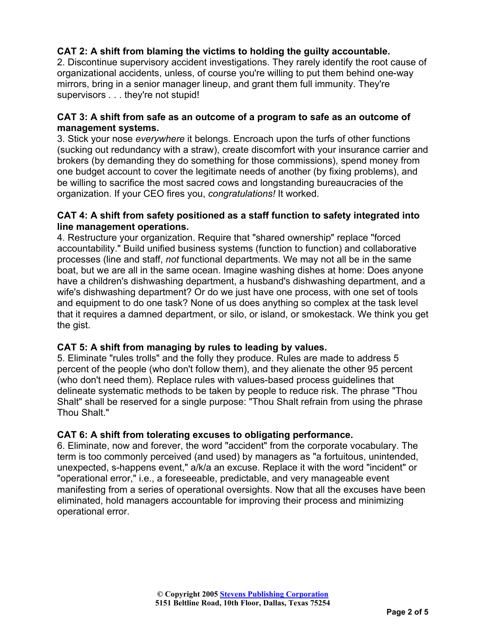## **CAT 2: A shift from blaming the victims to holding the guilty accountable.**

2. Discontinue supervisory accident investigations. They rarely identify the root cause of organizational accidents, unless, of course you're willing to put them behind one-way mirrors, bring in a senior manager lineup, and grant them full immunity. They're supervisors . . . they're not stupid!

#### **CAT 3: A shift from safe as an outcome of a program to safe as an outcome of management systems.**

3. Stick your nose *everywhere* it belongs. Encroach upon the turfs of other functions (sucking out redundancy with a straw), create discomfort with your insurance carrier and brokers (by demanding they do something for those commissions), spend money from one budget account to cover the legitimate needs of another (by fixing problems), and be willing to sacrifice the most sacred cows and longstanding bureaucracies of the organization. If your CEO fires you, *congratulations!* It worked.

#### **CAT 4: A shift from safety positioned as a staff function to safety integrated into line management operations.**

4. Restructure your organization. Require that "shared ownership" replace "forced accountability." Build unified business systems (function to function) and collaborative processes (line and staff, *not* functional departments. We may not all be in the same boat, but we are all in the same ocean. Imagine washing dishes at home: Does anyone have a children's dishwashing department, a husband's dishwashing department, and a wife's dishwashing department? Or do we just have one process, with one set of tools and equipment to do one task? None of us does anything so complex at the task level that it requires a damned department, or silo, or island, or smokestack. We think you get the gist.

## **CAT 5: A shift from managing by rules to leading by values.**

5. Eliminate "rules trolls" and the folly they produce. Rules are made to address 5 percent of the people (who don't follow them), and they alienate the other 95 percent (who don't need them). Replace rules with values-based process guidelines that delineate systematic methods to be taken by people to reduce risk. The phrase "Thou Shalt" shall be reserved for a single purpose: "Thou Shalt refrain from using the phrase Thou Shalt."

## **CAT 6: A shift from tolerating excuses to obligating performance.**

6. Eliminate, now and forever, the word "accident" from the corporate vocabulary. The term is too commonly perceived (and used) by managers as "a fortuitous, unintended, unexpected, s-happens event," a/k/a an excuse. Replace it with the word "incident" or "operational error," i.e., a foreseeable, predictable, and very manageable event manifesting from a series of operational oversights. Now that all the excuses have been eliminated, hold managers accountable for improving their process and minimizing operational error.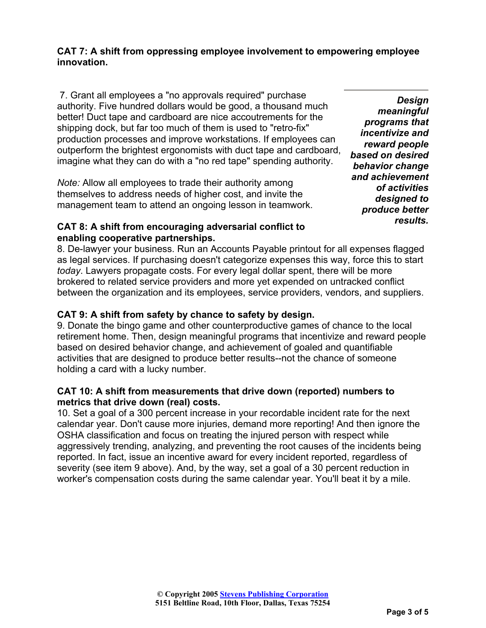#### **CAT 7: A shift from oppressing employee involvement to empowering employee innovation.**

 7. Grant all employees a "no approvals required" purchase authority. Five hundred dollars would be good, a thousand much better! Duct tape and cardboard are nice accoutrements for the shipping dock, but far too much of them is used to "retro-fix" production processes and improve workstations. If employees can outperform the brightest ergonomists with duct tape and cardboard, imagine what they can do with a "no red tape" spending authority.

*Note:* Allow all employees to trade their authority among themselves to address needs of higher cost, and invite the management team to attend an ongoing lesson in teamwork.

#### **CAT 8: A shift from encouraging adversarial conflict to enabling cooperative partnerships.**

*Design meaningful programs that incentivize and reward people based on desired behavior change and achievement of activities designed to produce better results.*

8. De-lawyer your business. Run an Accounts Payable printout for all expenses flagged as legal services. If purchasing doesn't categorize expenses this way, force this to start *today*. Lawyers propagate costs. For every legal dollar spent, there will be more brokered to related service providers and more yet expended on untracked conflict between the organization and its employees, service providers, vendors, and suppliers.

## **CAT 9: A shift from safety by chance to safety by design.**

9. Donate the bingo game and other counterproductive games of chance to the local retirement home. Then, design meaningful programs that incentivize and reward people based on desired behavior change, and achievement of goaled and quantifiable activities that are designed to produce better results--not the chance of someone holding a card with a lucky number.

#### **CAT 10: A shift from measurements that drive down (reported) numbers to metrics that drive down (real) costs.**

10. Set a goal of a 300 percent increase in your recordable incident rate for the next calendar year. Don't cause more injuries, demand more reporting! And then ignore the OSHA classification and focus on treating the injured person with respect while aggressively trending, analyzing, and preventing the root causes of the incidents being reported. In fact, issue an incentive award for every incident reported, regardless of severity (see item 9 above). And, by the way, set a goal of a 30 percent reduction in worker's compensation costs during the same calendar year. You'll beat it by a mile.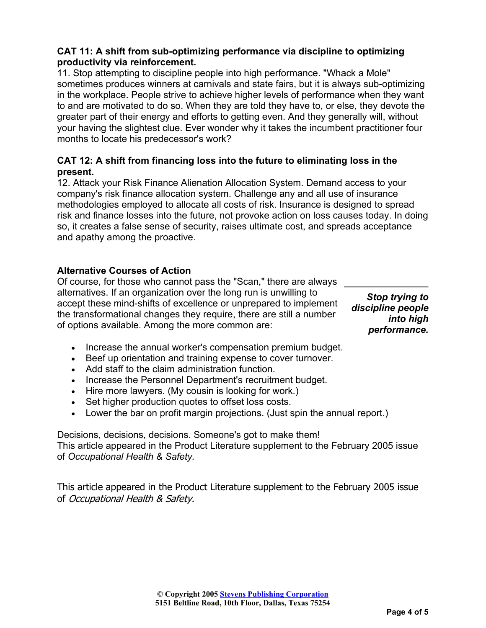#### **CAT 11: A shift from sub-optimizing performance via discipline to optimizing productivity via reinforcement.**

11. Stop attempting to discipline people into high performance. "Whack a Mole" sometimes produces winners at carnivals and state fairs, but it is always sub-optimizing in the workplace. People strive to achieve higher levels of performance when they want to and are motivated to do so. When they are told they have to, or else, they devote the greater part of their energy and efforts to getting even. And they generally will, without your having the slightest clue. Ever wonder why it takes the incumbent practitioner four months to locate his predecessor's work?

### **CAT 12: A shift from financing loss into the future to eliminating loss in the present.**

12. Attack your Risk Finance Alienation Allocation System. Demand access to your company's risk finance allocation system. Challenge any and all use of insurance methodologies employed to allocate all costs of risk. Insurance is designed to spread risk and finance losses into the future, not provoke action on loss causes today. In doing so, it creates a false sense of security, raises ultimate cost, and spreads acceptance and apathy among the proactive.

## **Alternative Courses of Action**

Of course, for those who cannot pass the "Scan," there are always alternatives. If an organization over the long run is unwilling to accept these mind-shifts of excellence or unprepared to implement the transformational changes they require, there are still a number of options available. Among the more common are:

*Stop trying to discipline people into high performance.*

- Increase the annual worker's compensation premium budget.
- Beef up orientation and training expense to cover turnover.
- Add staff to the claim administration function.
- Increase the Personnel Department's recruitment budget.
- Hire more lawyers. (My cousin is looking for work.)
- Set higher production quotes to offset loss costs.
- Lower the bar on profit margin projections. (Just spin the annual report.)

Decisions, decisions, decisions. Someone's got to make them! This article appeared in the Product Literature supplement to the February 2005 issue of *Occupational Health & Safety.*

This article appeared in the Product Literature supplement to the February 2005 issue of Occupational Health & Safety.